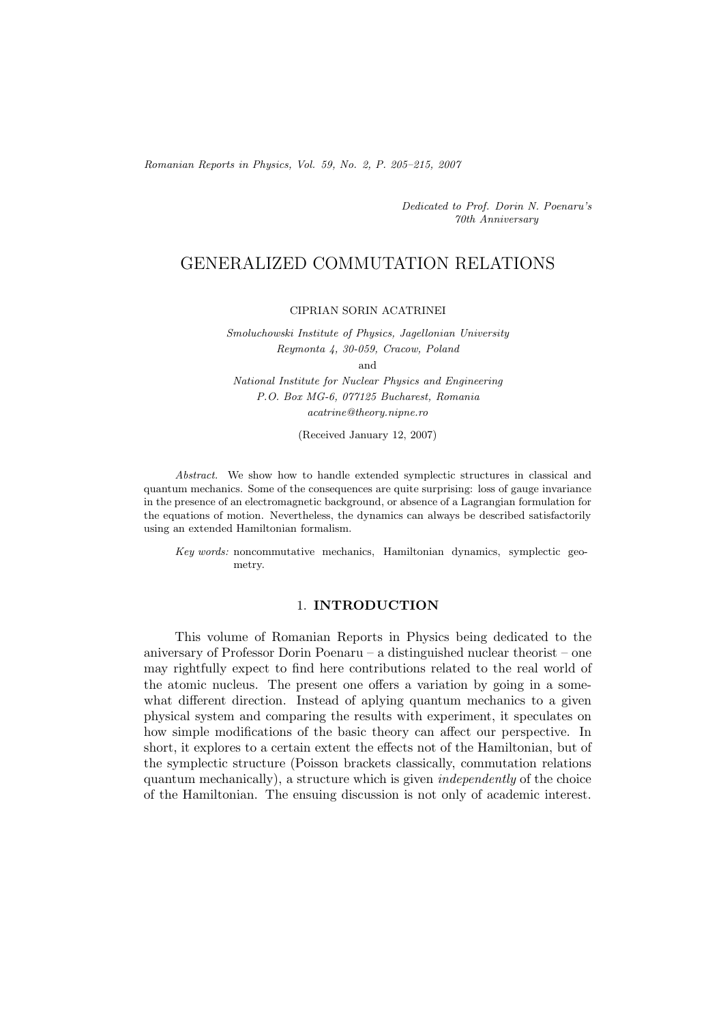*Romanian Reports in Physics, Vol. 59, No. 2, P. 205–215, 2007*

*Dedicated to Prof. Dorin N. Poenaru's 70th Anniversary*

# GENERALIZED COMMUTATION RELATIONS

CIPRIAN SORIN ACATRINEI

*Smoluchowski Institute of Physics, Jagellonian University Reymonta 4, 30-059, Cracow, Poland* and *National Institute for Nuclear Physics and Engineering P.O. Box MG-6, 077125 Bucharest, Romania acatrine@theory.nipne.ro*

(Received January 12, 2007)

*Abstract.* We show how to handle extended symplectic structures in classical and quantum mechanics. Some of the consequences are quite surprising: loss of gauge invariance in the presence of an electromagnetic background, or absence of a Lagrangian formulation for the equations of motion. Nevertheless, the dynamics can always be described satisfactorily using an extended Hamiltonian formalism.

*Key words:* noncommutative mechanics, Hamiltonian dynamics, symplectic geometry.

## 1. **INTRODUCTION**

This volume of Romanian Reports in Physics being dedicated to the aniversary of Professor Dorin Poenaru – a distinguished nuclear theorist – one may rightfully expect to find here contributions related to the real world of the atomic nucleus. The present one offers a variation by going in a somewhat different direction. Instead of aplying quantum mechanics to a given physical system and comparing the results with experiment, it speculates on how simple modifications of the basic theory can affect our perspective. In short, it explores to a certain extent the effects not of the Hamiltonian, but of the symplectic structure (Poisson brackets classically, commutation relations quantum mechanically), a structure which is given *independently* of the choice of the Hamiltonian. The ensuing discussion is not only of academic interest.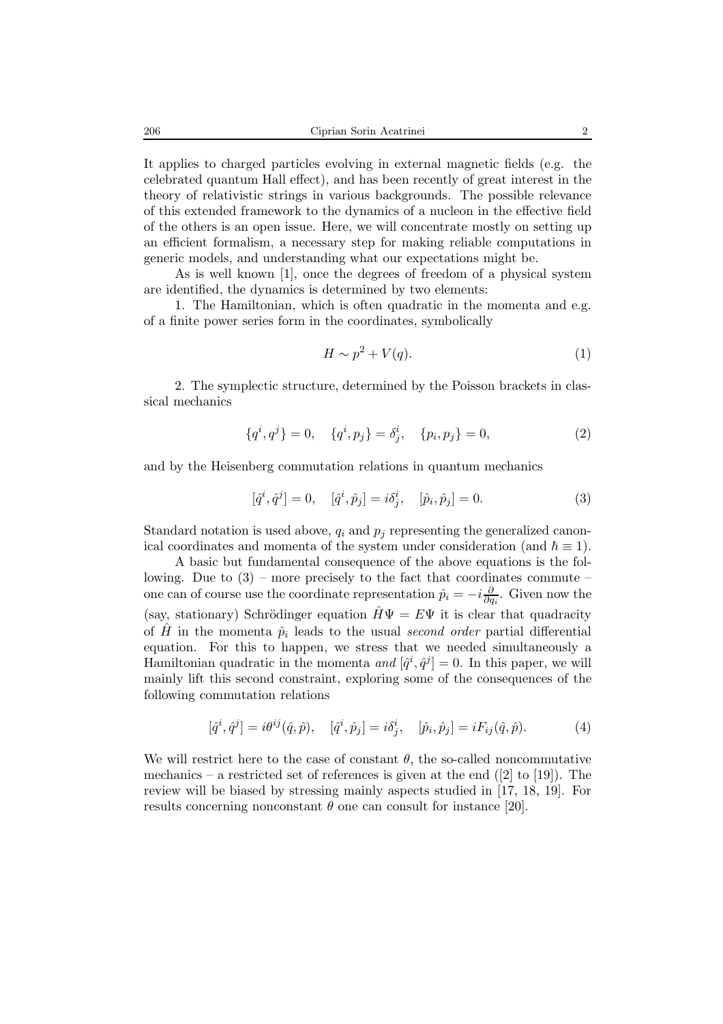It applies to charged particles evolving in external magnetic fields (e.g. the celebrated quantum Hall effect), and has been recently of great interest in the theory of relativistic strings in various backgrounds. The possible relevance of this extended framework to the dynamics of a nucleon in the effective field of the others is an open issue. Here, we will concentrate mostly on setting up an efficient formalism, a necessary step for making reliable computations in generic models, and understanding what our expectations might be.

As is well known [1], once the degrees of freedom of a physical system are identified, the dynamics is determined by two elements:

1. The Hamiltonian, which is often quadratic in the momenta and e.g. of a finite power series form in the coordinates, symbolically

$$
H \sim p^2 + V(q). \tag{1}
$$

2. The symplectic structure, determined by the Poisson brackets in classical mechanics

$$
\{q^i, q^j\} = 0, \quad \{q^i, p_j\} = \delta^i_j, \quad \{p_i, p_j\} = 0,
$$
\n(2)

and by the Heisenberg commutation relations in quantum mechanics

$$
[\hat{q}^i, \hat{q}^j] = 0, \quad [\hat{q}^i, \hat{p}_j] = i\delta^i_j, \quad [\hat{p}_i, \hat{p}_j] = 0.
$$
 (3)

Standard notation is used above,  $q_i$  and  $p_j$  representing the generalized canonical coordinates and momenta of the system under consideration (and  $\hbar \equiv 1$ ).

A basic but fundamental consequence of the above equations is the following. Due to  $(3)$  – more precisely to the fact that coordinates commute – one can of course use the coordinate representation  $\hat{p}_i = -i \frac{\partial}{\partial q_i}$ . Given now the (say, stationary) Schrödinger equation  $\hat{H}\Psi = E\Psi$  it is clear that quadracity of  $\hat{H}$  in the momenta  $\hat{p}_i$  leads to the usual *second order* partial differential equation. For this to happen, we stress that we needed simultaneously a Hamiltonian quadratic in the momenta and  $[\hat{q}^i, \hat{q}^j] = 0$ . In this paper, we will mainly lift this second constraint, exploring some of the consequences of the following commutation relations

$$
[\hat{q}^i, \hat{q}^j] = i\theta^{ij}(\hat{q}, \hat{p}), \quad [\hat{q}^i, \hat{p}_j] = i\delta^i_j, \quad [\hat{p}_i, \hat{p}_j] = iF_{ij}(\hat{q}, \hat{p}). \tag{4}
$$

We will restrict here to the case of constant  $\theta$ , the so-called noncommutative mechanics – a restricted set of references is given at the end  $(2)$  to [19]). The review will be biased by stressing mainly aspects studied in [17, 18, 19]. For results concerning nonconstant  $\theta$  one can consult for instance [20].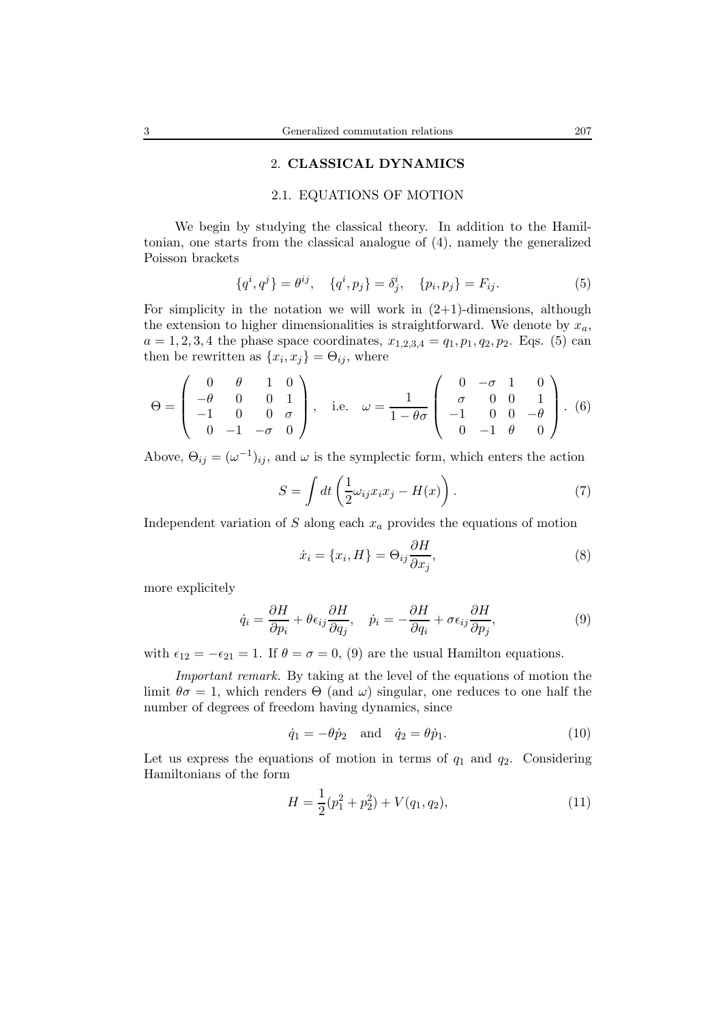#### 2. **CLASSICAL DYNAMICS**

## 2.1. EQUATIONS OF MOTION

We begin by studying the classical theory. In addition to the Hamiltonian, one starts from the classical analogue of (4), namely the generalized Poisson brackets

$$
\{q^i, q^j\} = \theta^{ij}, \quad \{q^i, p_j\} = \delta^i_j, \quad \{p_i, p_j\} = F_{ij}.
$$
 (5)

For simplicity in the notation we will work in  $(2+1)$ -dimensions, although the extension to higher dimensionalities is straightforward. We denote by  $x_a$ ,  $a = 1, 2, 3, 4$  the phase space coordinates,  $x_{1,2,3,4} = q_1, p_1, q_2, p_2$ . Eqs. (5) can then be rewritten as  $\{x_i, x_j\} = \Theta_{ij}$ , where

$$
\Theta = \begin{pmatrix}\n0 & \theta & 1 & 0 \\
-\theta & 0 & 0 & 1 \\
-1 & 0 & 0 & \sigma \\
0 & -1 & -\sigma & 0\n\end{pmatrix}, \text{ i.e. } \omega = \frac{1}{1 - \theta\sigma} \begin{pmatrix}\n0 & -\sigma & 1 & 0 \\
\sigma & 0 & 0 & 1 \\
-1 & 0 & 0 & -\theta \\
0 & -1 & \theta & 0\n\end{pmatrix}.
$$
(6)

Above,  $\Theta_{ij} = (\omega^{-1})_{ij}$ , and  $\omega$  is the symplectic form, which enters the action

$$
S = \int dt \left( \frac{1}{2} \omega_{ij} x_i x_j - H(x) \right). \tag{7}
$$

Independent variation of  $S$  along each  $x_a$  provides the equations of motion

$$
\dot{x}_i = \{x_i, H\} = \Theta_{ij} \frac{\partial H}{\partial x_j},\tag{8}
$$

more explicitely

$$
\dot{q}_i = \frac{\partial H}{\partial p_i} + \theta \epsilon_{ij} \frac{\partial H}{\partial q_j}, \quad \dot{p}_i = -\frac{\partial H}{\partial q_i} + \sigma \epsilon_{ij} \frac{\partial H}{\partial p_j}, \tag{9}
$$

with  $\epsilon_{12} = -\epsilon_{21} = 1$ . If  $\theta = \sigma = 0$ , (9) are the usual Hamilton equations.

*Important remark.* By taking at the level of the equations of motion the limit  $\theta \sigma = 1$ , which renders  $\Theta$  (and  $\omega$ ) singular, one reduces to one half the number of degrees of freedom having dynamics, since

$$
\dot{q}_1 = -\theta \dot{p}_2 \quad \text{and} \quad \dot{q}_2 = \theta \dot{p}_1. \tag{10}
$$

Let us express the equations of motion in terms of  $q_1$  and  $q_2$ . Considering Hamiltonians of the form

$$
H = \frac{1}{2}(p_1^2 + p_2^2) + V(q_1, q_2),\tag{11}
$$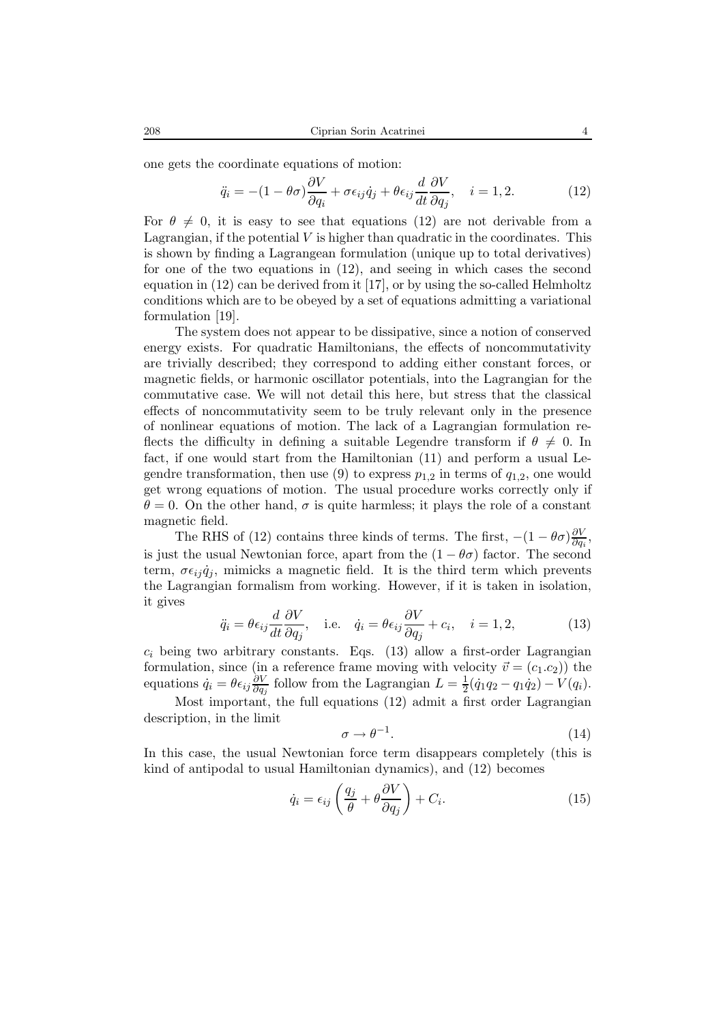one gets the coordinate equations of motion:

$$
\ddot{q}_i = -(1 - \theta \sigma) \frac{\partial V}{\partial q_i} + \sigma \epsilon_{ij} \dot{q}_j + \theta \epsilon_{ij} \frac{d}{dt} \frac{\partial V}{\partial q_j}, \quad i = 1, 2. \tag{12}
$$

For  $\theta \neq 0$ , it is easy to see that equations (12) are not derivable from a Lagrangian, if the potential  $V$  is higher than quadratic in the coordinates. This is shown by finding a Lagrangean formulation (unique up to total derivatives) for one of the two equations in (12), and seeing in which cases the second equation in (12) can be derived from it [17], or by using the so-called Helmholtz conditions which are to be obeyed by a set of equations admitting a variational formulation [19].

The system does not appear to be dissipative, since a notion of conserved energy exists. For quadratic Hamiltonians, the effects of noncommutativity are trivially described; they correspond to adding either constant forces, or magnetic fields, or harmonic oscillator potentials, into the Lagrangian for the commutative case. We will not detail this here, but stress that the classical effects of noncommutativity seem to be truly relevant only in the presence of nonlinear equations of motion. The lack of a Lagrangian formulation reflects the difficulty in defining a suitable Legendre transform if  $\theta \neq 0$ . In fact, if one would start from the Hamiltonian (11) and perform a usual Legendre transformation, then use (9) to express  $p_{1,2}$  in terms of  $q_{1,2}$ , one would get wrong equations of motion. The usual procedure works correctly only if  $\theta = 0$ . On the other hand,  $\sigma$  is quite harmless; it plays the role of a constant magnetic field.

The RHS of (12) contains three kinds of terms. The first,  $-(1 - \theta)\frac{\partial V}{\partial q_i}$ , is just the usual Newtonian force, apart from the  $(1 - \theta \sigma)$  factor. The second term,  $\sigma \epsilon_{ij} \dot{q}_j$ , mimicks a magnetic field. It is the third term which prevents the Lagrangian formalism from working. However, if it is taken in isolation, it gives

$$
\ddot{q}_i = \theta \epsilon_{ij} \frac{d}{dt} \frac{\partial V}{\partial q_j}, \quad \text{i.e.} \quad \dot{q}_i = \theta \epsilon_{ij} \frac{\partial V}{\partial q_j} + c_i, \quad i = 1, 2,
$$
\n(13)

 $c_i$  being two arbitrary constants. Eqs. (13) allow a first-order Lagrangian formulation, since (in a reference frame moving with velocity  $\vec{v} = (c_1.c_2)$ ) the equations  $\dot{q}_i = \theta \epsilon_{ij} \frac{\partial V}{\partial q_j}$  follow from the Lagrangian  $L = \frac{1}{2} (\dot{q}_1 q_2 - q_1 \dot{q}_2) - V(q_i)$ .

Most important, the full equations (12) admit a first order Lagrangian description, in the limit

$$
\sigma \to \theta^{-1}.\tag{14}
$$

In this case, the usual Newtonian force term disappears completely (this is kind of antipodal to usual Hamiltonian dynamics), and (12) becomes

$$
\dot{q}_i = \epsilon_{ij} \left( \frac{q_j}{\theta} + \theta \frac{\partial V}{\partial q_j} \right) + C_i.
$$
 (15)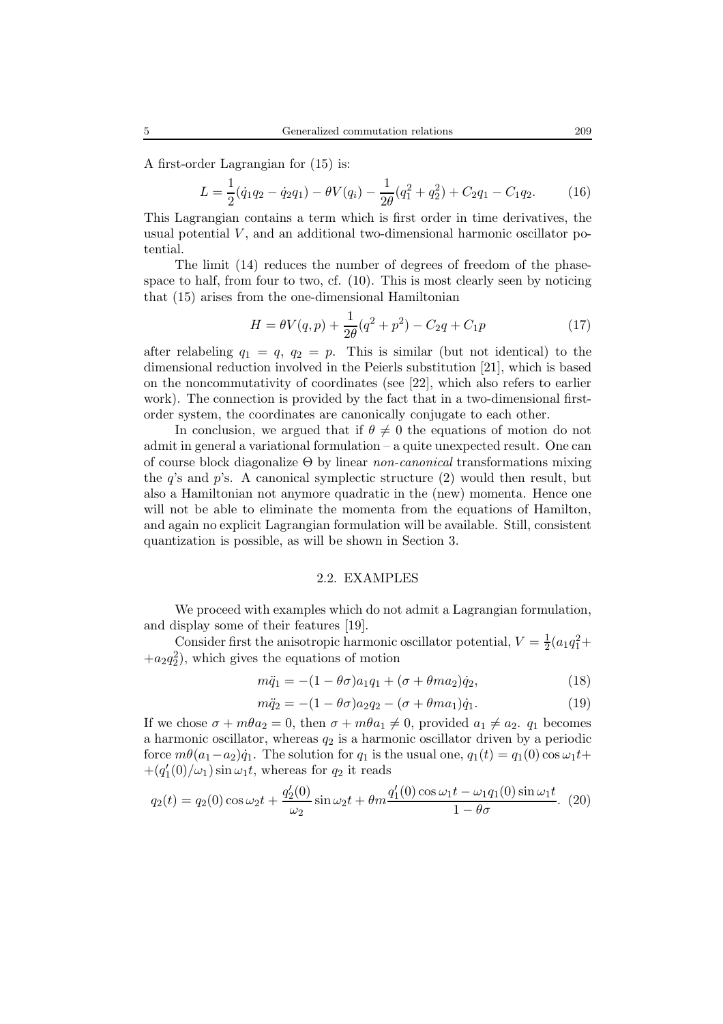A first-order Lagrangian for (15) is:

$$
L = \frac{1}{2}(\dot{q}_1 q_2 - \dot{q}_2 q_1) - \theta V(q_i) - \frac{1}{2\theta}(q_1^2 + q_2^2) + C_2 q_1 - C_1 q_2.
$$
 (16)

This Lagrangian contains a term which is first order in time derivatives, the usual potential  $V$ , and an additional two-dimensional harmonic oscillator potential.

The limit (14) reduces the number of degrees of freedom of the phasespace to half, from four to two, cf. (10). This is most clearly seen by noticing that (15) arises from the one-dimensional Hamiltonian

$$
H = \theta V(q, p) + \frac{1}{2\theta} (q^2 + p^2) - C_2 q + C_1 p \tag{17}
$$

after relabeling  $q_1 = q$ ,  $q_2 = p$ . This is similar (but not identical) to the dimensional reduction involved in the Peierls substitution [21], which is based on the noncommutativity of coordinates (see [22], which also refers to earlier work). The connection is provided by the fact that in a two-dimensional firstorder system, the coordinates are canonically conjugate to each other.

In conclusion, we argued that if  $\theta \neq 0$  the equations of motion do not admit in general a variational formulation – a quite unexpected result. One can of course block diagonalize Θ by linear *non-canonical* transformations mixing the  $q$ 's and  $p$ 's. A canonical symplectic structure  $(2)$  would then result, but also a Hamiltonian not anymore quadratic in the (new) momenta. Hence one will not be able to eliminate the momenta from the equations of Hamilton, and again no explicit Lagrangian formulation will be available. Still, consistent quantization is possible, as will be shown in Section 3.

## 2.2. EXAMPLES

We proceed with examples which do not admit a Lagrangian formulation, and display some of their features [19].

Consider first the anisotropic harmonic oscillator potential,  $V = \frac{1}{2}(a_1q_1^2 +$  $+a_2q_2^2$ , which gives the equations of motion

$$
m\ddot{q}_1 = -(1 - \theta\sigma)a_1q_1 + (\sigma + \theta ma_2)\dot{q}_2,\tag{18}
$$

$$
m\ddot{q}_2 = -(1 - \theta \sigma) a_2 q_2 - (\sigma + \theta m a_1) \dot{q}_1.
$$
 (19)

If we chose  $\sigma + m\theta a_2 = 0$ , then  $\sigma + m\theta a_1 \neq 0$ , provided  $a_1 \neq a_2$ .  $q_1$  becomes a harmonic oscillator, whereas  $q_2$  is a harmonic oscillator driven by a periodic force  $m\theta(a_1-a_2)\dot{q}_1$ . The solution for  $q_1$  is the usual one,  $q_1(t) = q_1(0) \cos \omega_1 t +$  $+(q'_1(0)/\omega_1)\sin \omega_1 t$ , whereas for  $q_2$  it reads

$$
q_2(t) = q_2(0)\cos\omega_2 t + \frac{q'_2(0)}{\omega_2}\sin\omega_2 t + \theta m \frac{q'_1(0)\cos\omega_1 t - \omega_1 q_1(0)\sin\omega_1 t}{1 - \theta\sigma}.
$$
 (20)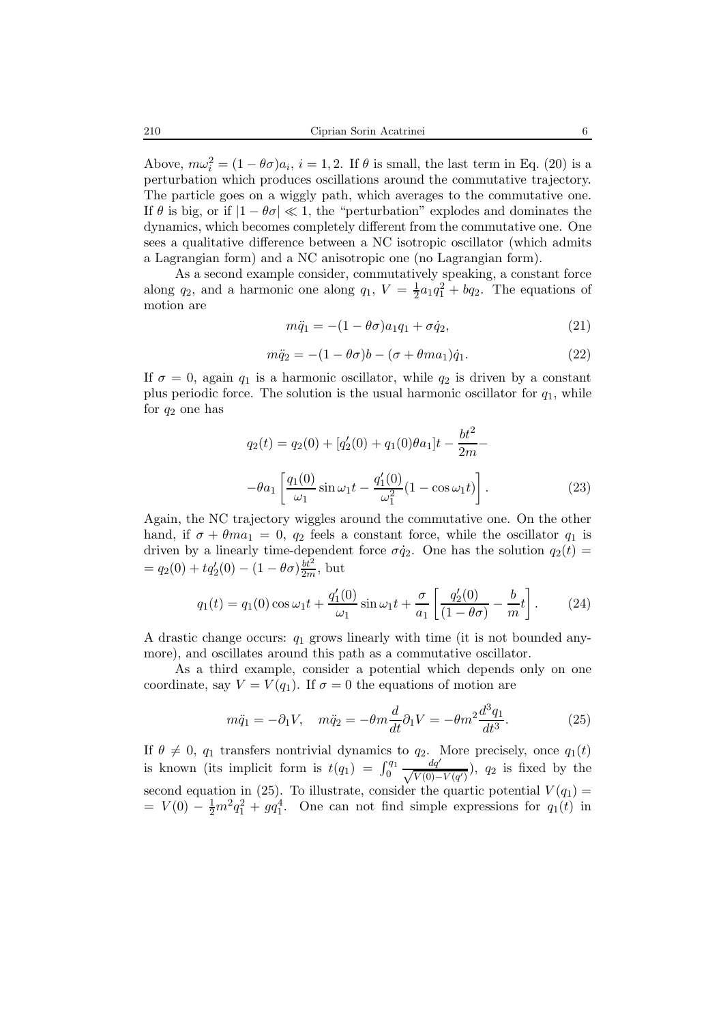Above,  $m\omega_i^2 = (1 - \theta\sigma)a_i$ ,  $i = 1, 2$ . If  $\theta$  is small, the last term in Eq. (20) is a perturbation which produces oscillations around the commutative trajectory. The particle goes on a wiggly path, which averages to the commutative one. If  $\theta$  is big, or if  $|1 - \theta \sigma| \ll 1$ , the "perturbation" explodes and dominates the dynamics, which becomes completely different from the commutative one. One sees a qualitative difference between a NC isotropic oscillator (which admits a Lagrangian form) and a NC anisotropic one (no Lagrangian form).

As a second example consider, commutatively speaking, a constant force along  $q_2$ , and a harmonic one along  $q_1$ ,  $V = \frac{1}{2}a_1q_1^2 + bq_2$ . The equations of motion are

$$
m\ddot{q}_1 = -(1 - \theta \sigma)a_1 q_1 + \sigma \dot{q}_2, \qquad (21)
$$

$$
m\ddot{q}_2 = -(1 - \theta\sigma)b - (\sigma + \theta m a_1)\dot{q}_1.
$$
\n(22)

If  $\sigma = 0$ , again  $q_1$  is a harmonic oscillator, while  $q_2$  is driven by a constant plus periodic force. The solution is the usual harmonic oscillator for  $q_1$ , while for  $q_2$  one has

$$
q_2(t) = q_2(0) + [q'_2(0) + q_1(0)\theta a_1]t - \frac{bt^2}{2m} -
$$

$$
-\theta a_1 \left[ \frac{q_1(0)}{\omega_1} \sin \omega_1 t - \frac{q'_1(0)}{\omega_1^2} (1 - \cos \omega_1 t) \right].
$$
 (23)

Again, the NC trajectory wiggles around the commutative one. On the other hand, if  $\sigma + \theta m a_1 = 0$ ,  $q_2$  feels a constant force, while the oscillator  $q_1$  is driven by a linearly time-dependent force  $\sigma \dot{q}_2$ . One has the solution  $q_2(t)$  =  $= q_2(0) + tq'_2(0) - (1 - \theta \sigma) \frac{bt^2}{2m}$ , but

$$
q_1(t) = q_1(0)\cos\omega_1 t + \frac{q_1'(0)}{\omega_1}\sin\omega_1 t + \frac{\sigma}{a_1}\left[\frac{q_2'(0)}{(1-\theta\sigma)} - \frac{b}{m}t\right].
$$
 (24)

A drastic change occurs:  $q_1$  grows linearly with time (it is not bounded anymore), and oscillates around this path as a commutative oscillator.

As a third example, consider a potential which depends only on one coordinate, say  $V = V(q_1)$ . If  $\sigma = 0$  the equations of motion are

$$
m\ddot{q}_1 = -\partial_1 V, \quad m\ddot{q}_2 = -\theta m \frac{d}{dt} \partial_1 V = -\theta m^2 \frac{d^3 q_1}{dt^3}.
$$
 (25)

If  $\theta \neq 0$ ,  $q_1$  transfers nontrivial dynamics to  $q_2$ . More precisely, once  $q_1(t)$ is known (its implicit form is  $t(q_1) = \int_0^{q_1}$  $\frac{dq'}{\sqrt{V(0)-V(q')}}$ ,  $q_2$  is fixed by the second equation in (25). To illustrate, consider the quartic potential  $V(q_1)$  =  $= V(0) - \frac{1}{2}m^2q_1^2 + g q_1^4$ . One can not find simple expressions for  $q_1(t)$  in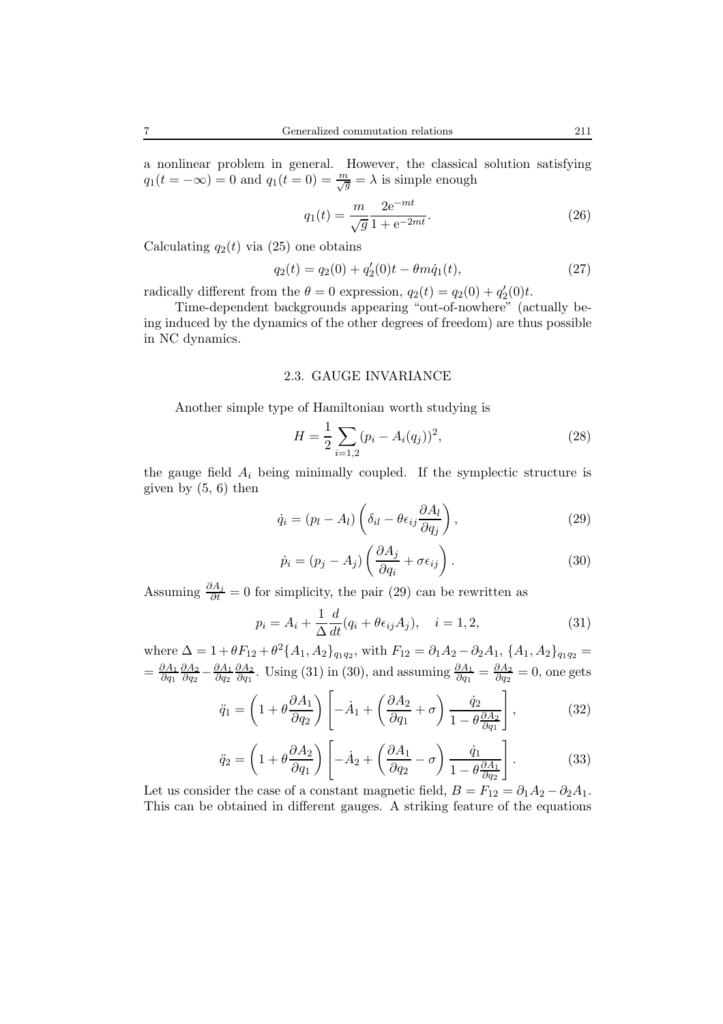a nonlinear problem in general. However, the classical solution satisfying  $q_1(t = -\infty) = 0$  and  $q_1(t = 0) = \frac{m}{\sqrt{g}} = \lambda$  is simple enough

$$
q_1(t) = \frac{m}{\sqrt{g}} \frac{2e^{-mt}}{1 + e^{-2mt}}.
$$
\n(26)

Calculating  $q_2(t)$  via (25) one obtains

$$
q_2(t) = q_2(0) + q'_2(0)t - \theta m \dot{q}_1(t), \qquad (27)
$$

radically different from the  $\theta = 0$  expression,  $q_2(t) = q_2(0) + q'_2(0)t$ .

Time-dependent backgrounds appearing "out-of-nowhere" (actually being induced by the dynamics of the other degrees of freedom) are thus possible in NC dynamics.

#### 2.3. GAUGE INVARIANCE

Another simple type of Hamiltonian worth studying is

$$
H = \frac{1}{2} \sum_{i=1,2} (p_i - A_i(q_j))^2,
$$
\n(28)

the gauge field  $A_i$  being minimally coupled. If the symplectic structure is given by  $(5, 6)$  then

$$
\dot{q}_i = (p_l - A_l) \left( \delta_{il} - \theta \epsilon_{ij} \frac{\partial A_l}{\partial q_j} \right),\tag{29}
$$

$$
\dot{p}_i = (p_j - A_j) \left( \frac{\partial A_j}{\partial q_i} + \sigma \epsilon_{ij} \right). \tag{30}
$$

Assuming  $\frac{\partial A_j}{\partial t} = 0$  for simplicity, the pair (29) can be rewritten as

$$
p_i = A_i + \frac{1}{\Delta} \frac{d}{dt} (q_i + \theta \epsilon_{ij} A_j), \quad i = 1, 2,
$$
 (31)

where  $\Delta = 1 + \theta F_{12} + \theta^2 \{A_1, A_2\}_{q_1q_2}$ , with  $F_{12} = \partial_1 A_2 - \partial_2 A_1$ ,  $\{A_1, A_2\}_{q_1q_2} =$  $=\frac{\partial A_1}{\partial q_1}$  $\frac{\partial A_2}{\partial q_2} - \frac{\partial A_1}{\partial q_2}$  $\frac{\partial A_2}{\partial q_1}$ . Using (31) in (30), and assuming  $\frac{\partial A_1}{\partial q_1} = \frac{\partial A_2}{\partial q_2} = 0$ , one gets

$$
\ddot{q}_1 = \left(1 + \theta \frac{\partial A_1}{\partial q_2}\right) \left[-\dot{A}_1 + \left(\frac{\partial A_2}{\partial q_1} + \sigma\right) \frac{\dot{q}_2}{1 - \theta \frac{\partial A_2}{\partial q_1}}\right],\tag{32}
$$

$$
\ddot{q}_2 = \left(1 + \theta \frac{\partial A_2}{\partial q_1}\right) \left[-\dot{A}_2 + \left(\frac{\partial A_1}{\partial q_2} - \sigma\right) \frac{\dot{q}_1}{1 - \theta \frac{\partial A_1}{\partial q_2}}\right].
$$
 (33)

Let us consider the case of a constant magnetic field,  $B = F_{12} = \partial_1 A_2 - \partial_2 A_1$ . This can be obtained in different gauges. A striking feature of the equations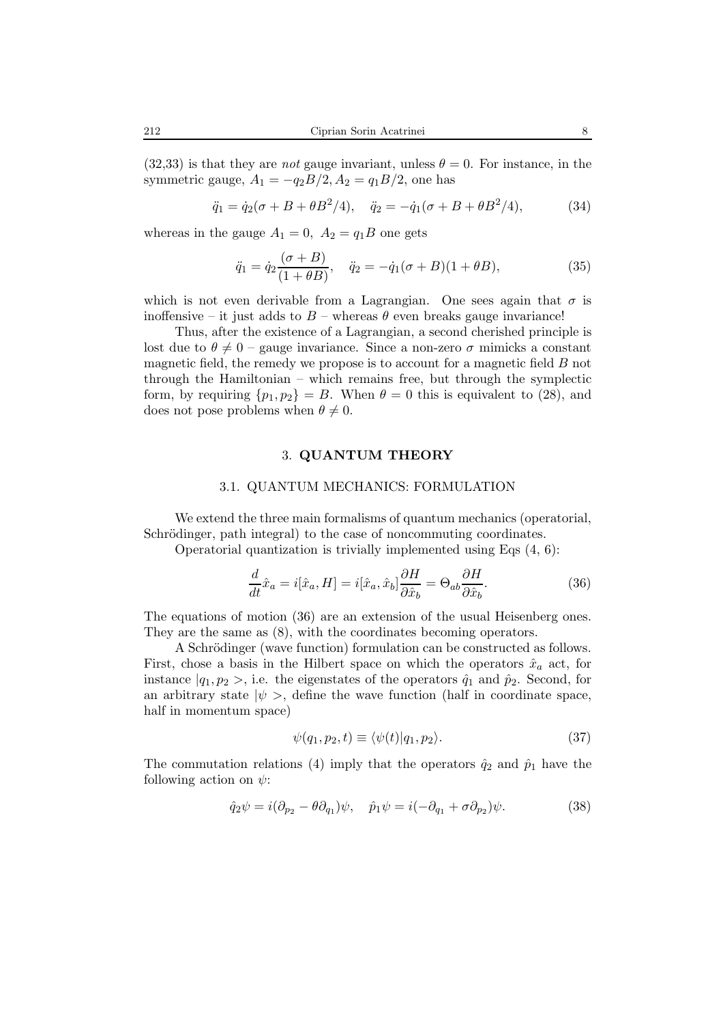$(32,33)$  is that they are *not* gauge invariant, unless  $\theta = 0$ . For instance, in the symmetric gauge,  $A_1 = -q_2B/2$ ,  $A_2 = q_1B/2$ , one has

$$
\ddot{q}_1 = \dot{q}_2(\sigma + B + \theta B^2/4), \quad \ddot{q}_2 = -\dot{q}_1(\sigma + B + \theta B^2/4), \tag{34}
$$

whereas in the gauge  $A_1 = 0$ ,  $A_2 = q_1B$  one gets

$$
\ddot{q}_1 = \dot{q}_2 \frac{(\sigma + B)}{(1 + \theta B)}, \quad \ddot{q}_2 = -\dot{q}_1(\sigma + B)(1 + \theta B), \tag{35}
$$

which is not even derivable from a Lagrangian. One sees again that  $\sigma$  is inoffensive – it just adds to  $B$  – whereas  $\theta$  even breaks gauge invariance!

Thus, after the existence of a Lagrangian, a second cherished principle is lost due to  $\theta \neq 0$  – gauge invariance. Since a non-zero  $\sigma$  mimicks a constant magnetic field, the remedy we propose is to account for a magnetic field B not through the Hamiltonian – which remains free, but through the symplectic form, by requiring  $\{p_1, p_2\} = B$ . When  $\theta = 0$  this is equivalent to (28), and does not pose problems when  $\theta \neq 0$ .

### 3. **QUANTUM THEORY**

#### 3.1. QUANTUM MECHANICS: FORMULATION

We extend the three main formalisms of quantum mechanics (operatorial, Schrödinger, path integral) to the case of noncommuting coordinates.

Operatorial quantization is trivially implemented using Eqs (4, 6):

$$
\frac{d}{dt}\hat{x}_a = i[\hat{x}_a, H] = i[\hat{x}_a, \hat{x}_b] \frac{\partial H}{\partial \hat{x}_b} = \Theta_{ab} \frac{\partial H}{\partial \hat{x}_b}.
$$
\n(36)

The equations of motion (36) are an extension of the usual Heisenberg ones. They are the same as (8), with the coordinates becoming operators.

A Schrödinger (wave function) formulation can be constructed as follows. First, chose a basis in the Hilbert space on which the operators  $\hat{x}_a$  act, for instance  $|q_1, p_2 \rangle$ , i.e. the eigenstates of the operators  $\hat{q}_1$  and  $\hat{p}_2$ . Second, for an arbitrary state  $|\psi\rangle$ , define the wave function (half in coordinate space, half in momentum space)

$$
\psi(q_1, p_2, t) \equiv \langle \psi(t) | q_1, p_2 \rangle. \tag{37}
$$

The commutation relations (4) imply that the operators  $\hat{q}_2$  and  $\hat{p}_1$  have the following action on  $\psi$ :

$$
\hat{q}_2\psi = i(\partial_{p_2} - \theta \partial_{q_1})\psi, \quad \hat{p}_1\psi = i(-\partial_{q_1} + \sigma \partial_{p_2})\psi.
$$
 (38)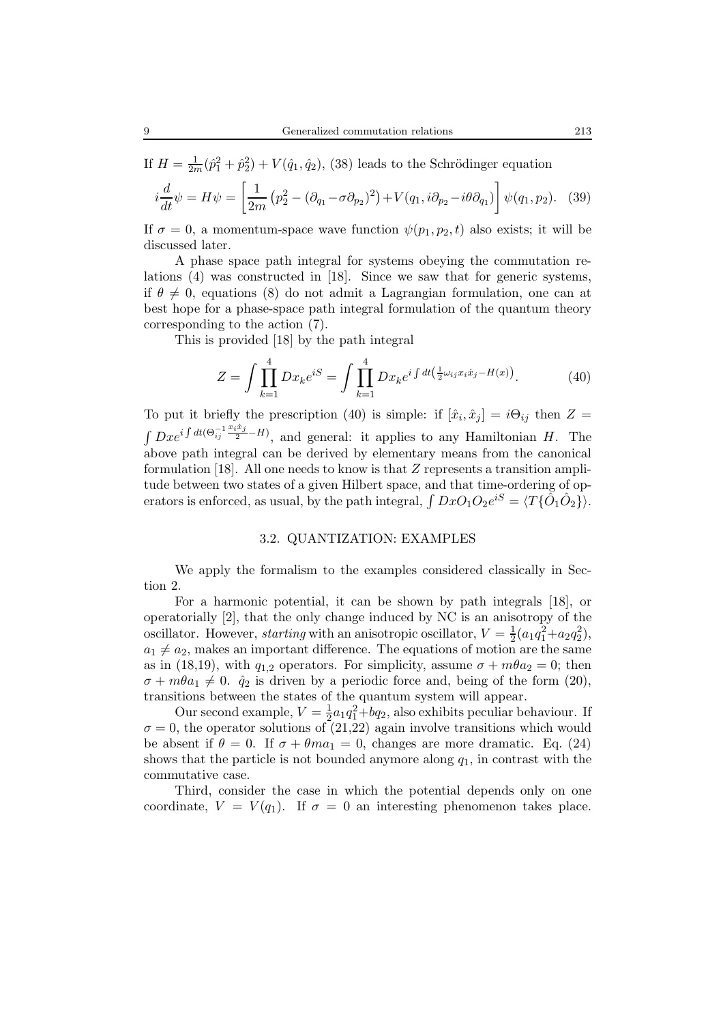If  $H = \frac{1}{2m}(\hat{p}_1^2 + \hat{p}_2^2) + V(\hat{q}_1, \hat{q}_2),$  (38) leads to the Schrödinger equation

$$
i\frac{d}{dt}\psi = H\psi = \left[\frac{1}{2m}\left(p_2^2 - (\partial_{q_1} - \sigma \partial_{p_2})^2\right) + V(q_1, i\partial_{p_2} - i\theta \partial_{q_1})\right]\psi(q_1, p_2).
$$
 (39)

If  $\sigma = 0$ , a momentum-space wave function  $\psi(p_1, p_2, t)$  also exists; it will be discussed later.

A phase space path integral for systems obeying the commutation relations (4) was constructed in [18]. Since we saw that for generic systems, if  $\theta \neq 0$ , equations (8) do not admit a Lagrangian formulation, one can at best hope for a phase-space path integral formulation of the quantum theory corresponding to the action (7).

This is provided [18] by the path integral

$$
Z = \int \prod_{k=1}^{4} Dx_k e^{iS} = \int \prod_{k=1}^{4} Dx_k e^{i \int dt \left(\frac{1}{2} \omega_{ij} x_i \dot{x}_j - H(x)\right)}.
$$
 (40)

To put it briefly the prescription (40) is simple: if  $[\hat{x}_i, \hat{x}_j] = i\Theta_{ij}$  then  $Z =$  $\int Dx e^{i \int dt (\Theta_{ij}^{-1} \frac{x_i \dot{x}_j}{2} - H)}$ , and general: it applies to any Hamiltonian H. The above path integral can be derived by elementary means from the canonical formulation  $[18]$ . All one needs to know is that Z represents a transition amplitude between two states of a given Hilbert space, and that time-ordering of operators is enforced, as usual, by the path integral,  $\int DxO_1O_2e^{iS} = \langle T\{\hat{O}_1\hat{O}_2\}\rangle$ .

#### 3.2. QUANTIZATION: EXAMPLES

We apply the formalism to the examples considered classically in Section 2.

For a harmonic potential, it can be shown by path integrals [18], or operatorially [2], that the only change induced by NC is an anisotropy of the oscillator. However, *starting* with an anisotropic oscillator,  $V = \frac{1}{2}(a_1q_1^2 + a_2q_2^2)$ ,  $a_1 \neq a_2$ , makes an important difference. The equations of motion are the same as in (18,19), with  $q_{1,2}$  operators. For simplicity, assume  $\sigma + m\theta a_2 = 0$ ; then  $\sigma + m\theta a_1 \neq 0$ .  $\hat{q}_2$  is driven by a periodic force and, being of the form (20), transitions between the states of the quantum system will appear.

Our second example,  $V = \frac{1}{2}a_1q_1^2 + bq_2$ , also exhibits peculiar behaviour. If  $\sigma = 0$ , the operator solutions of (21,22) again involve transitions which would be absent if  $\theta = 0$ . If  $\sigma + \theta m a_1 = 0$ , changes are more dramatic. Eq. (24) shows that the particle is not bounded anymore along  $q_1$ , in contrast with the commutative case.

Third, consider the case in which the potential depends only on one coordinate,  $V = V(q_1)$ . If  $\sigma = 0$  an interesting phenomenon takes place.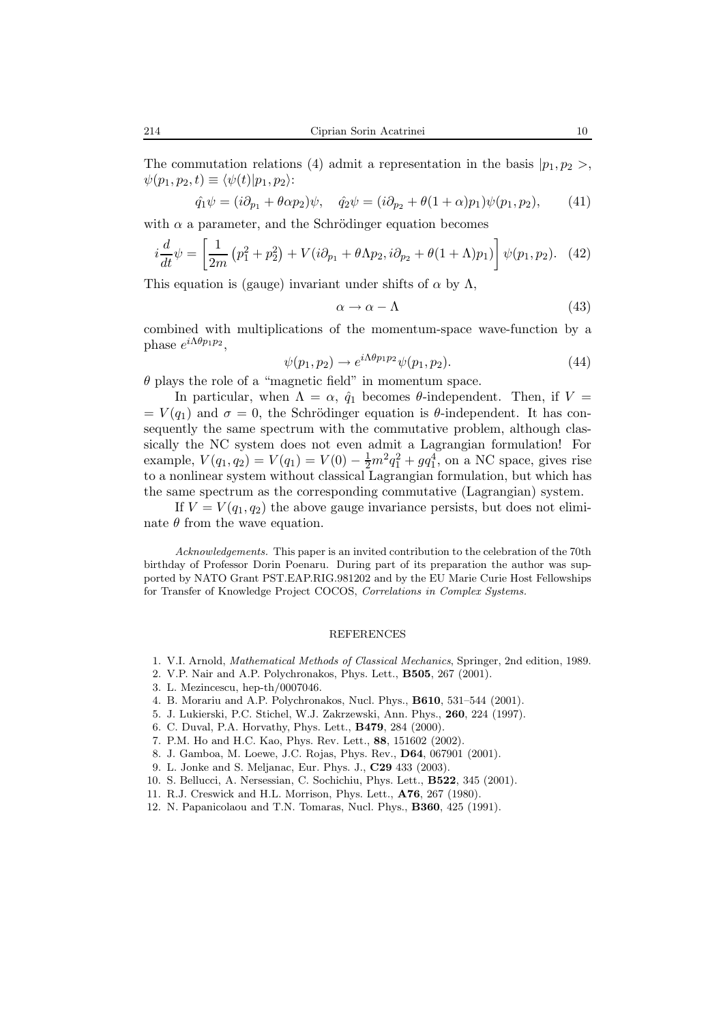The commutation relations (4) admit a representation in the basis  $|p_1, p_2 \rangle$ ,  $\psi(p_1, p_2, t) \equiv \langle \psi(t) | p_1, p_2 \rangle$ :

$$
\hat{q}_1 \psi = (i\partial_{p_1} + \theta \alpha p_2)\psi, \quad \hat{q}_2 \psi = (i\partial_{p_2} + \theta (1 + \alpha)p_1)\psi(p_1, p_2), \quad (41)
$$

with  $\alpha$  a parameter, and the Schrödinger equation becomes

$$
i\frac{d}{dt}\psi = \left[\frac{1}{2m}\left(p_1^2 + p_2^2\right) + V(i\partial_{p_1} + \theta \Lambda p_2, i\partial_{p_2} + \theta (1 + \Lambda)p_1)\right]\psi(p_1, p_2). \tag{42}
$$

This equation is (gauge) invariant under shifts of  $\alpha$  by  $\Lambda$ ,

$$
\alpha \to \alpha - \Lambda \tag{43}
$$

combined with multiplications of the momentum-space wave-function by a phase  $e^{i\Lambda\theta p_1p_2}$ .

$$
\psi(p_1, p_2) \to e^{i\Lambda \theta p_1 p_2} \psi(p_1, p_2). \tag{44}
$$

 $\theta$  plays the role of a "magnetic field" in momentum space.

In particular, when  $\Lambda = \alpha$ ,  $\hat{q}_1$  becomes  $\theta$ -independent. Then, if  $V =$  $= V(q_1)$  and  $\sigma = 0$ , the Schrödinger equation is  $\theta$ -independent. It has consequently the same spectrum with the commutative problem, although classically the NC system does not even admit a Lagrangian formulation! For example,  $V(q_1, q_2) = V(q_1) = V(0) - \frac{1}{2}m^2q_1^2 + g q_1^4$ , on a NC space, gives rise to a nonlinear system without classical Lagrangian formulation, but which has the same spectrum as the corresponding commutative (Lagrangian) system.

If  $V = V(q_1, q_2)$  the above gauge invariance persists, but does not eliminate  $\theta$  from the wave equation.

*Acknowledgements.* This paper is an invited contribution to the celebration of the 70th birthday of Professor Dorin Poenaru. During part of its preparation the author was supported by NATO Grant PST.EAP.RIG.981202 and by the EU Marie Curie Host Fellowships for Transfer of Knowledge Project COCOS, *Correlations in Complex Systems.*

#### REFERENCES

- 1. V.I. Arnold, *Mathematical Methods of Classical Mechanics*, Springer, 2nd edition, 1989.
- 2. V.P. Nair and A.P. Polychronakos, Phys. Lett., **B505**, 267 (2001).
- 3. L. Mezincescu, hep-th/0007046.
- 4. B. Morariu and A.P. Polychronakos, Nucl. Phys., **B610**, 531–544 (2001).
- 5. J. Lukierski, P.C. Stichel, W.J. Zakrzewski, Ann. Phys., **260**, 224 (1997).
- 6. C. Duval, P.A. Horvathy, Phys. Lett., **B479**, 284 (2000).
- 7. P.M. Ho and H.C. Kao, Phys. Rev. Lett., **88**, 151602 (2002).
- 8. J. Gamboa, M. Loewe, J.C. Rojas, Phys. Rev., **D64**, 067901 (2001).
- 9. L. Jonke and S. Meljanac, Eur. Phys. J., **C29** 433 (2003).
- 10. S. Bellucci, A. Nersessian, C. Sochichiu, Phys. Lett., **B522**, 345 (2001).
- 11. R.J. Creswick and H.L. Morrison, Phys. Lett., **A76**, 267 (1980).
- 12. N. Papanicolaou and T.N. Tomaras, Nucl. Phys., **B360**, 425 (1991).